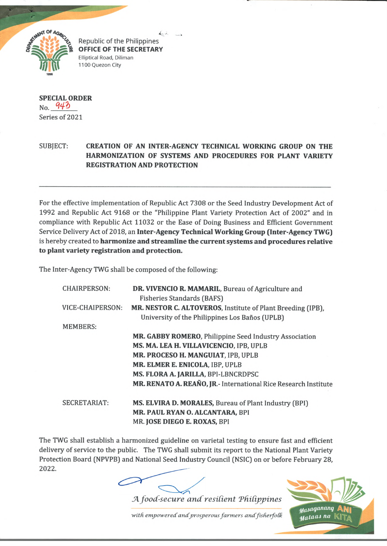

 $\leftarrow$ Republic of the Philippines **OFFICE OF THE SECRETARY** Elliptical Road, Diliman 1100 Quezon City

## **SPECIAL ORDER**  $_{\text{No}}$   $943$ Series of 2021

## SUBJECT: **CREATION OF AN INTER-AGENCY TECHNICAL WORKING GROUP ON THE HARMONIZATION OF SYSTEMS AND PROCEDURES FOR PLANT VARIETY REGISTRATION AND PROTECTION**

For the effective implementation of Republic Act 7308 or the Seed Industry Development Act of 1992 and Republic Act 9168 or the "Philippine Plant Variety Protection Act of 2002" and in compliance with Republic Act 11032 or the Ease of Doing Business and Efficient Government Service Delivery Act of 2018, an **Inter-Agency Technical Working Group (Inter-Agency TWG)** is hereby created to **harmonize and streamline the current systems and procedures relative to plant variety registration and protection.**

The Inter-Agency TWG shall be composed of the following:

| <b>CHAIRPERSON:</b> | DR. VIVENCIO R. MAMARIL, Bureau of Agriculture and              |
|---------------------|-----------------------------------------------------------------|
|                     | <b>Fisheries Standards (BAFS)</b>                               |
| VICE-CHAIPERSON:    | MR. NESTOR C. ALTOVEROS, Institute of Plant Breeding (IPB),     |
|                     | University of the Philippines Los Baños (UPLB)                  |
| <b>MEMBERS:</b>     |                                                                 |
|                     | MR. GABBY ROMERO, Philippine Seed Industry Association          |
|                     | MS. MA. LEA H. VILLAVICENCIO, IPB, UPLB                         |
|                     | MR. PROCESO H. MANGUIAT, IPB, UPLB                              |
|                     | MR. ELMER E. ENICOLA, IBP, UPLB                                 |
|                     | MS. FLORA A. JARILLA, BPI-LBNCRDPSC                             |
|                     | MR. RENATO A. REAÑO, JR.- International Rice Research Institute |
| <b>SECRETARIAT:</b> | <b>MS. ELVIRA D. MORALES, Bureau of Plant Industry (BPI)</b>    |
|                     | MR. PAUL RYAN O. ALCANTARA, BPI                                 |
|                     | MR. JOSE DIEGO E. ROXAS, BPI                                    |

The TWG shall establish a harmonized guideline on varietal testing to ensure fast and efficient delivery of service to the public. The TWG shall submit its report to the National Plant Variety Protection Board (NPVPB) and National Seed Industry Council (NSIC) on or before February 28, 2022.

A *food-secure and resilient Philippines* 

with empowered and prosperous farmers and fisherfolk